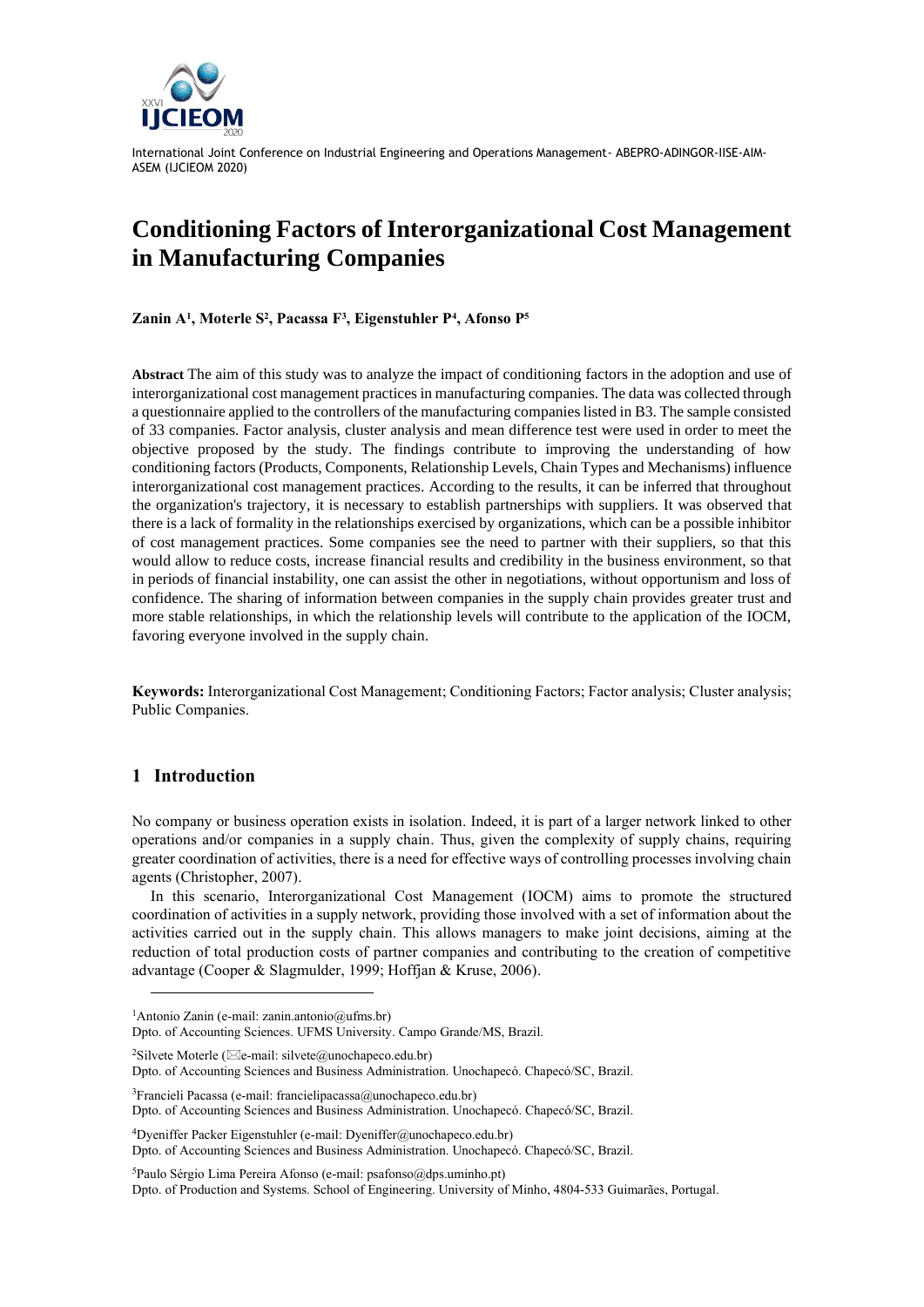

# **Conditioning Factors of Interorganizational Cost Management in Manufacturing Companies**

**Zanin A<sup>1</sup> , Moterle S<sup>2</sup> , Pacassa F<sup>3</sup> , Eigenstuhler P<sup>4</sup> , Afonso P<sup>5</sup>**

**Abstract** The aim of this study was to analyze the impact of conditioning factors in the adoption and use of interorganizational cost management practices in manufacturing companies. The data was collected through a questionnaire applied to the controllers of the manufacturing companies listed in B3. The sample consisted of 33 companies. Factor analysis, cluster analysis and mean difference test were used in order to meet the objective proposed by the study. The findings contribute to improving the understanding of how conditioning factors (Products, Components, Relationship Levels, Chain Types and Mechanisms) influence interorganizational cost management practices. According to the results, it can be inferred that throughout the organization's trajectory, it is necessary to establish partnerships with suppliers. It was observed that there is a lack of formality in the relationships exercised by organizations, which can be a possible inhibitor of cost management practices. Some companies see the need to partner with their suppliers, so that this would allow to reduce costs, increase financial results and credibility in the business environment, so that in periods of financial instability, one can assist the other in negotiations, without opportunism and loss of confidence. The sharing of information between companies in the supply chain provides greater trust and more stable relationships, in which the relationship levels will contribute to the application of the IOCM, favoring everyone involved in the supply chain.

**Keywords:** Interorganizational Cost Management; Conditioning Factors; Factor analysis; Cluster analysis; Public Companies.

# **1 Introduction**

No company or business operation exists in isolation. Indeed, it is part of a larger network linked to other operations and/or companies in a supply chain. Thus, given the complexity of supply chains, requiring greater coordination of activities, there is a need for effective ways of controlling processes involving chain agents (Christopher, 2007).

In this scenario, Interorganizational Cost Management (IOCM) aims to promote the structured coordination of activities in a supply network, providing those involved with a set of information about the activities carried out in the supply chain. This allows managers to make joint decisions, aiming at the reduction of total production costs of partner companies and contributing to the creation of competitive advantage (Cooper & Slagmulder, 1999; Hoffjan & Kruse, 2006).

Dpto. of Accounting Sciences. UFMS University. Campo Grande/MS, Brazil.

<sup>2</sup>Silvete Moterle ( $\boxtimes$ e-mail: silvete@unochapeco.edu.br)

Dpto. of Accounting Sciences and Business Administration. Unochapecó. Chapecó/SC, Brazil.

<sup>3</sup>Francieli Pacassa (e-mail: francielipacassa@unochapeco.edu.br) Dpto. of Accounting Sciences and Business Administration. Unochapecó. Chapecó/SC, Brazil.

<sup>4</sup>Dyeniffer Packer Eigenstuhler (e-mail: Dyeniffer@unochapeco.edu.br) Dpto. of Accounting Sciences and Business Administration. Unochapecó. Chapecó/SC, Brazil.

<sup>5</sup>Paulo Sérgio Lima Pereira Afonso (e-mail: psafonso@dps.uminho.pt) Dpto. of Production and Systems. School of Engineering. University of Minho, 4804-533 Guimarães, Portugal.

<sup>1</sup>Antonio Zanin (e-mail: zanin.antonio@ufms.br)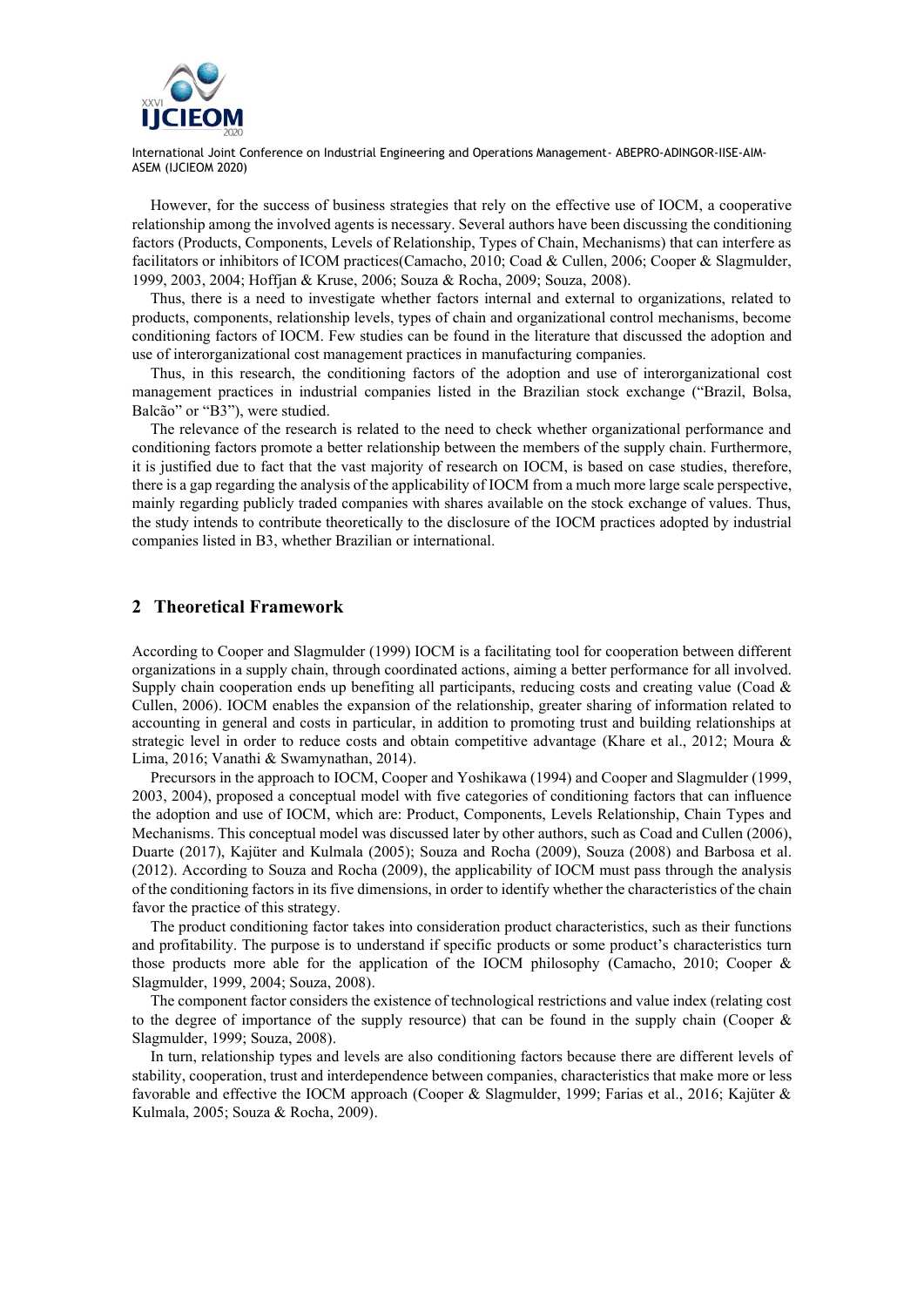

However, for the success of business strategies that rely on the effective use of IOCM, a cooperative relationship among the involved agents is necessary. Several authors have been discussing the conditioning factors (Products, Components, Levels of Relationship, Types of Chain, Mechanisms) that can interfere as facilitators or inhibitors of ICOM practices(Camacho, 2010; Coad & Cullen, 2006; Cooper & Slagmulder, 1999, 2003, 2004; Hoffjan & Kruse, 2006; Souza & Rocha, 2009; Souza, 2008).

Thus, there is a need to investigate whether factors internal and external to organizations, related to products, components, relationship levels, types of chain and organizational control mechanisms, become conditioning factors of IOCM. Few studies can be found in the literature that discussed the adoption and use of interorganizational cost management practices in manufacturing companies.

Thus, in this research, the conditioning factors of the adoption and use of interorganizational cost management practices in industrial companies listed in the Brazilian stock exchange ("Brazil, Bolsa, Balcão" or "B3"), were studied.

The relevance of the research is related to the need to check whether organizational performance and conditioning factors promote a better relationship between the members of the supply chain. Furthermore, it is justified due to fact that the vast majority of research on IOCM, is based on case studies, therefore, there is a gap regarding the analysis of the applicability of IOCM from a much more large scale perspective, mainly regarding publicly traded companies with shares available on the stock exchange of values. Thus, the study intends to contribute theoretically to the disclosure of the IOCM practices adopted by industrial companies listed in B3, whether Brazilian or international.

## **2 Theoretical Framework**

According to Cooper and Slagmulder (1999) IOCM is a facilitating tool for cooperation between different organizations in a supply chain, through coordinated actions, aiming a better performance for all involved. Supply chain cooperation ends up benefiting all participants, reducing costs and creating value (Coad & Cullen, 2006). IOCM enables the expansion of the relationship, greater sharing of information related to accounting in general and costs in particular, in addition to promoting trust and building relationships at strategic level in order to reduce costs and obtain competitive advantage (Khare et al., 2012; Moura & Lima, 2016; Vanathi & Swamynathan, 2014).

Precursors in the approach to IOCM, Cooper and Yoshikawa (1994) and Cooper and Slagmulder (1999, 2003, 2004), proposed a conceptual model with five categories of conditioning factors that can influence the adoption and use of IOCM, which are: Product, Components, Levels Relationship, Chain Types and Mechanisms. This conceptual model was discussed later by other authors, such as Coad and Cullen (2006), Duarte (2017), Kajüter and Kulmala (2005); Souza and Rocha (2009), Souza (2008) and Barbosa et al. (2012). According to Souza and Rocha (2009), the applicability of IOCM must pass through the analysis of the conditioning factors in its five dimensions, in order to identify whether the characteristics of the chain favor the practice of this strategy.

The product conditioning factor takes into consideration product characteristics, such as their functions and profitability. The purpose is to understand if specific products or some product's characteristics turn those products more able for the application of the IOCM philosophy (Camacho, 2010; Cooper & Slagmulder, 1999, 2004; Souza, 2008).

The component factor considers the existence of technological restrictions and value index (relating cost to the degree of importance of the supply resource) that can be found in the supply chain (Cooper & Slagmulder, 1999; Souza, 2008).

In turn, relationship types and levels are also conditioning factors because there are different levels of stability, cooperation, trust and interdependence between companies, characteristics that make more or less favorable and effective the IOCM approach (Cooper & Slagmulder, 1999; Farias et al., 2016; Kajüter & Kulmala, 2005; Souza & Rocha, 2009).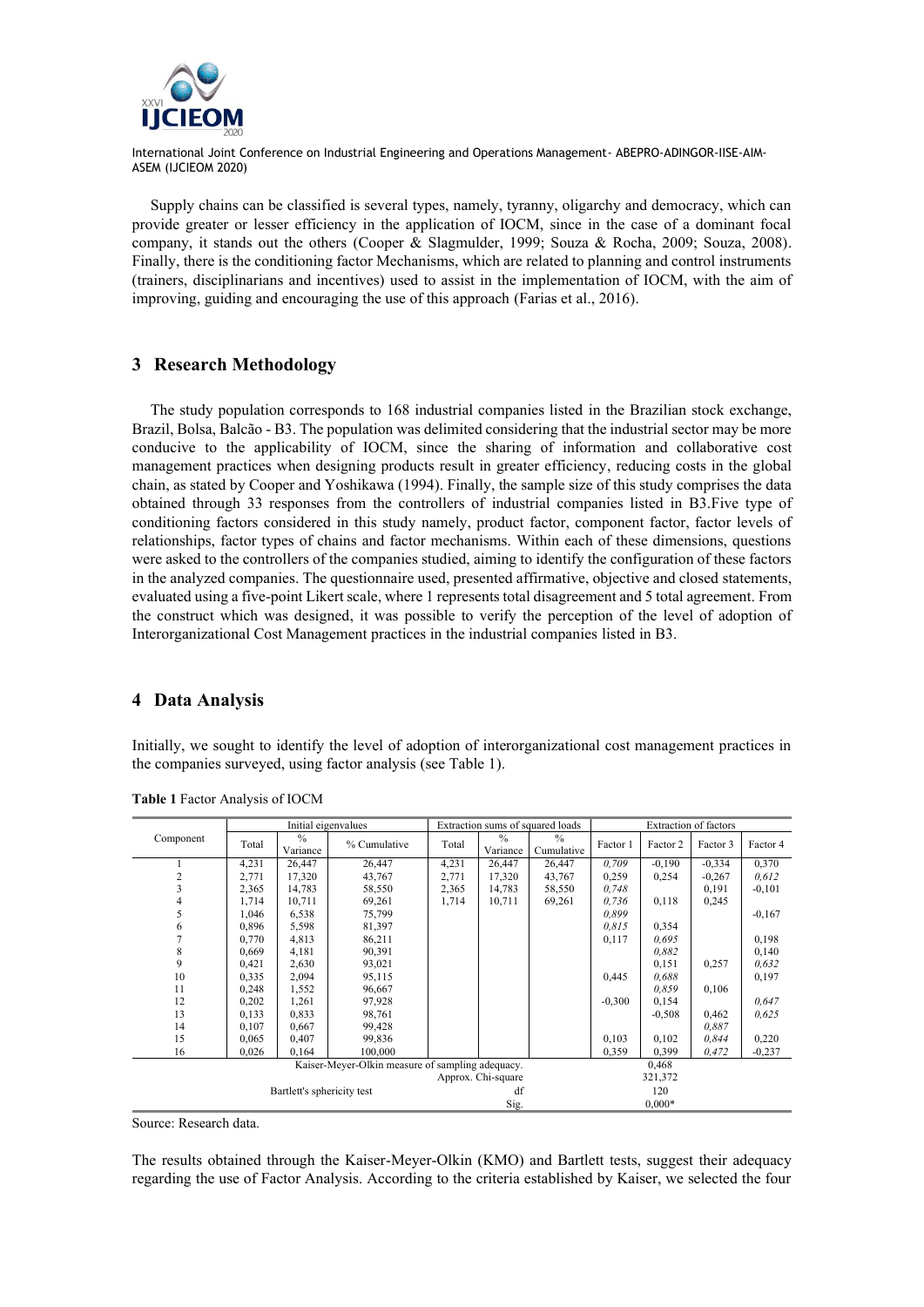

Supply chains can be classified is several types, namely, tyranny, oligarchy and democracy, which can provide greater or lesser efficiency in the application of IOCM, since in the case of a dominant focal company, it stands out the others (Cooper & Slagmulder, 1999; Souza & Rocha, 2009; Souza, 2008). Finally, there is the conditioning factor Mechanisms, which are related to planning and control instruments (trainers, disciplinarians and incentives) used to assist in the implementation of IOCM, with the aim of improving, guiding and encouraging the use of this approach (Farias et al., 2016).

# **3 Research Methodology**

The study population corresponds to 168 industrial companies listed in the Brazilian stock exchange, Brazil, Bolsa, Balcão - B3. The population was delimited considering that the industrial sector may be more conducive to the applicability of IOCM, since the sharing of information and collaborative cost management practices when designing products result in greater efficiency, reducing costs in the global chain, as stated by Cooper and Yoshikawa (1994). Finally, the sample size of this study comprises the data obtained through 33 responses from the controllers of industrial companies listed in B3.Five type of conditioning factors considered in this study namely, product factor, component factor, factor levels of relationships, factor types of chains and factor mechanisms. Within each of these dimensions, questions were asked to the controllers of the companies studied, aiming to identify the configuration of these factors in the analyzed companies. The questionnaire used, presented affirmative, objective and closed statements, evaluated using a five-point Likert scale, where 1 represents total disagreement and 5 total agreement. From the construct which was designed, it was possible to verify the perception of the level of adoption of Interorganizational Cost Management practices in the industrial companies listed in B3.

# **4 Data Analysis**

Initially, we sought to identify the level of adoption of interorganizational cost management practices in the companies surveyed, using factor analysis (see Table 1).

|                                                           |       | Initial eigenvalues       |              |                    |                           | Extraction sums of squared loads | Extraction of factors |          |          |          |  |
|-----------------------------------------------------------|-------|---------------------------|--------------|--------------------|---------------------------|----------------------------------|-----------------------|----------|----------|----------|--|
| Component                                                 | Total | $\frac{0}{0}$<br>Variance | % Cumulative | Total              | $\frac{0}{0}$<br>Variance | $\frac{0}{0}$<br>Cumulative      | Factor 1              | Factor 2 | Factor 3 | Factor 4 |  |
|                                                           | 4,231 | 26,447                    | 26,447       | 4,231              | 26,447                    | 26,447                           | 0,709                 | $-0,190$ | $-0.334$ | 0,370    |  |
| 2                                                         | 2,771 | 17,320                    | 43,767       | 2,771              | 17,320                    | 43,767                           | 0,259                 | 0,254    | $-0,267$ | 0,612    |  |
| 3                                                         | 2,365 | 14,783                    | 58,550       | 2,365              | 14,783                    | 58,550                           | 0,748                 |          | 0,191    | $-0,101$ |  |
| 4                                                         | 1,714 | 10,711                    | 69,261       | 1,714              | 10,711                    | 69,261                           | 0,736                 | 0,118    | 0,245    |          |  |
| 5                                                         | 1,046 | 6,538                     | 75,799       |                    |                           |                                  | 0.899                 |          |          | $-0.167$ |  |
| 6                                                         | 0,896 | 5,598                     | 81,397       |                    |                           |                                  | 0.815                 | 0,354    |          |          |  |
|                                                           | 0,770 | 4,813                     | 86,211       |                    |                           |                                  | 0,117                 | 0.695    |          | 0,198    |  |
| 8                                                         | 0,669 | 4,181                     | 90,391       |                    |                           |                                  |                       | 0.882    |          | 0,140    |  |
| 9                                                         | 0,421 | 2,630                     | 93,021       |                    |                           |                                  |                       | 0,151    | 0,257    | 0,632    |  |
| 10                                                        | 0,335 | 2,094                     | 95,115       |                    |                           |                                  | 0,445                 | 0.688    |          | 0,197    |  |
| 11                                                        | 0,248 | 1,552                     | 96,667       |                    |                           |                                  |                       | 0.859    | 0,106    |          |  |
| 12                                                        | 0,202 | 1,261                     | 97,928       |                    |                           |                                  | $-0.300$              | 0,154    |          | 0,647    |  |
| 13                                                        | 0,133 | 0,833                     | 98,761       |                    |                           |                                  |                       | $-0,508$ | 0,462    | 0,625    |  |
| 14                                                        | 0,107 | 0,667                     | 99,428       |                    |                           |                                  |                       |          | 0.887    |          |  |
| 15                                                        | 0,065 | 0,407                     | 99,836       |                    |                           |                                  | 0,103                 | 0,102    | 0.844    | 0,220    |  |
| 16                                                        | 0,026 | 0,164                     | 100,000      |                    |                           |                                  | 0,359                 | 0,399    | 0,472    | $-0,237$ |  |
| Kaiser-Meyer-Olkin measure of sampling adequacy.<br>0,468 |       |                           |              |                    |                           |                                  |                       |          |          |          |  |
|                                                           |       |                           |              | Approx. Chi-square |                           |                                  | 321,372               |          |          |          |  |
| Bartlett's sphericity test                                |       |                           |              |                    | df                        |                                  |                       | 120      |          |          |  |
|                                                           |       |                           |              |                    | Sig.                      |                                  |                       | $0.000*$ |          |          |  |

Source: Research data.

The results obtained through the Kaiser-Meyer-Olkin (KMO) and Bartlett tests, suggest their adequacy regarding the use of Factor Analysis. According to the criteria established by Kaiser, we selected the four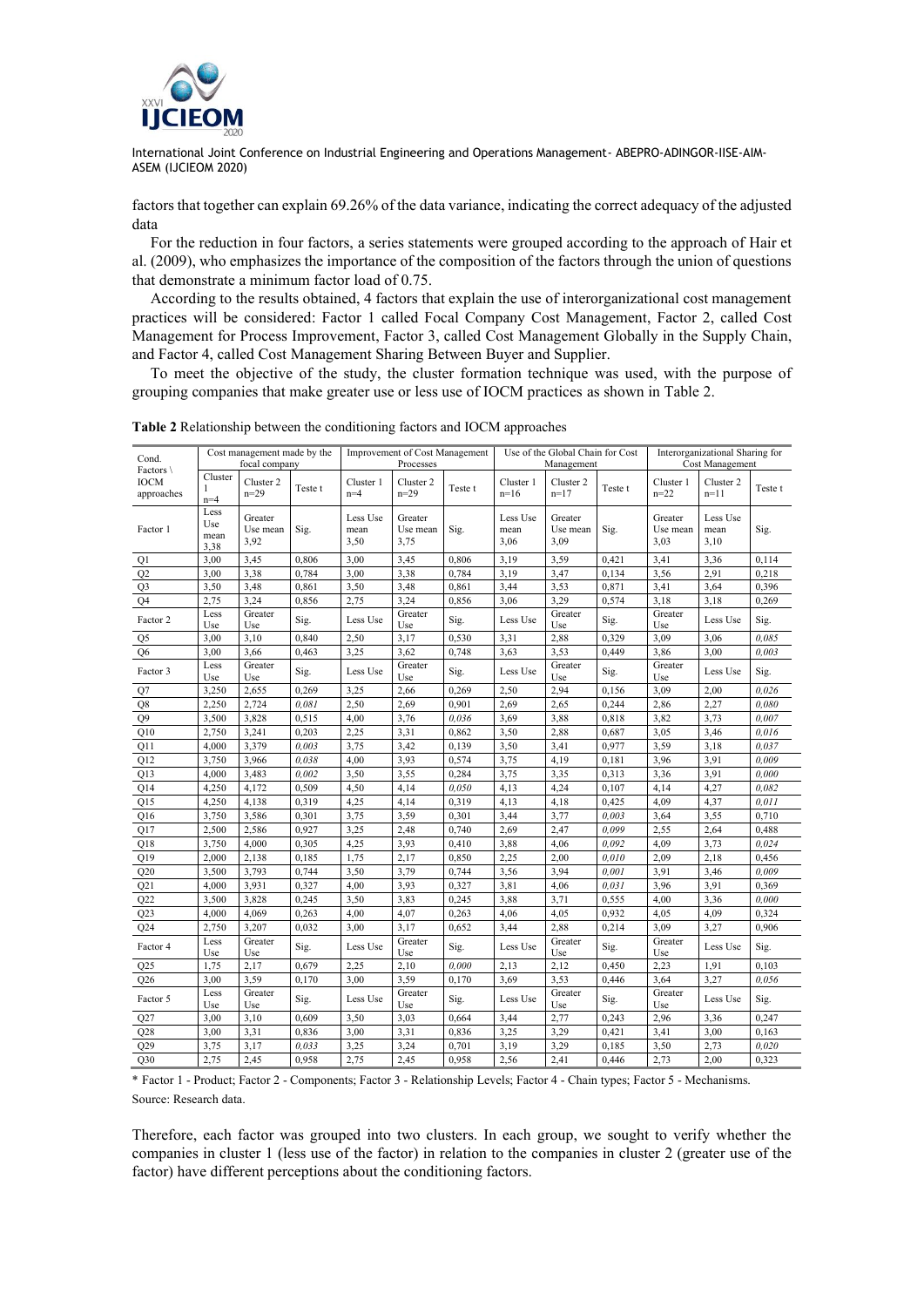

factors that together can explain 69.26% of the data variance, indicating the correct adequacy of the adjusted data

For the reduction in four factors, a series statements were grouped according to the approach of Hair et al. (2009), who emphasizes the importance of the composition of the factors through the union of questions that demonstrate a minimum factor load of 0.75.

According to the results obtained, 4 factors that explain the use of interorganizational cost management practices will be considered: Factor 1 called Focal Company Cost Management, Factor 2, called Cost Management for Process Improvement, Factor 3, called Cost Management Globally in the Supply Chain, and Factor 4, called Cost Management Sharing Between Buyer and Supplier.

To meet the objective of the study, the cluster formation technique was used, with the purpose of grouping companies that make greater use or less use of IOCM practices as shown in Table 2.

| Cond.<br>Factors $\setminus$ | Cost management made by the<br>focal company |                             |         | Improvement of Cost Management<br>Processes |                             |         | Use of the Global Chain for Cost<br>Management |                             |         | Interorganizational Sharing for<br>Cost Management |                          |         |
|------------------------------|----------------------------------------------|-----------------------------|---------|---------------------------------------------|-----------------------------|---------|------------------------------------------------|-----------------------------|---------|----------------------------------------------------|--------------------------|---------|
| <b>IOCM</b><br>approaches    | Cluster<br>1<br>$n=4$                        | Cluster 2<br>$n=29$         | Teste t | Cluster 1<br>$n=4$                          | Cluster 2<br>$n = 29$       | Teste t | Cluster 1<br>$n=16$                            | Cluster 2<br>$n=17$         | Teste t | Cluster 1<br>$n = 22$                              | Cluster 2<br>$n=11$      | Teste t |
| Factor 1                     | Less<br>Use<br>mean<br>3,38                  | Greater<br>Use mean<br>3,92 | Sig.    | Less Use<br>mean<br>3,50                    | Greater<br>Use mean<br>3,75 | Sig.    | Less Use<br>mean<br>3,06                       | Greater<br>Use mean<br>3,09 | Sig.    | Greater<br>Use mean<br>3,03                        | Less Use<br>mean<br>3,10 | Sig.    |
| Q1                           | 3,00                                         | 3,45                        | 0,806   | 3,00                                        | 3,45                        | 0,806   | 3,19                                           | 3,59                        | 0,421   | 3,41                                               | 3,36                     | 0,114   |
| O <sub>2</sub>               | 3,00                                         | 3,38                        | 0,784   | 3,00                                        | 3,38                        | 0,784   | 3,19                                           | 3,47                        | 0,134   | 3,56                                               | 2,91                     | 0,218   |
| Q3                           | 3,50                                         | 3,48                        | 0,861   | 3,50                                        | 3,48                        | 0,861   | 3,44                                           | 3,53                        | 0,871   | 3,41                                               | 3,64                     | 0,396   |
| O <sub>4</sub>               | 2,75                                         | 3,24                        | 0,856   | 2,75                                        | 3,24                        | 0,856   | 3,06                                           | 3,29                        | 0,574   | 3,18                                               | 3,18                     | 0,269   |
| Factor 2                     | Less<br>Use                                  | Greater<br>Use              | Sig.    | Less Use                                    | Greater<br>Use              | Sig.    | Less Use                                       | Greater<br>Use              | Sig.    | Greater<br>Use                                     | Less Use                 | Sig.    |
| Q5                           | 3,00                                         | 3,10                        | 0,840   | 2,50                                        | 3,17                        | 0,530   | 3,31                                           | 2,88                        | 0,329   | 3,09                                               | 3,06                     | 0.085   |
| Q <sub>6</sub>               | 3,00                                         | 3,66                        | 0,463   | 3,25                                        | 3,62                        | 0,748   | 3,63                                           | 3,53                        | 0,449   | 3,86                                               | 3,00                     | 0.003   |
| Factor 3                     | Less<br>Use                                  | Greater<br>Use              | Sig.    | Less Use                                    | Greater<br>Use              | Sig.    | Less Use                                       | Greater<br>Use              | Sig.    | Greater<br>Use                                     | Less Use                 | Sig.    |
| Q7                           | 3,250                                        | 2,655                       | 0,269   | 3,25                                        | 2,66                        | 0,269   | 2,50                                           | 2,94                        | 0,156   | 3,09                                               | 2,00                     | 0.026   |
| Q8                           | 2,250                                        | 2,724                       | 0,081   | 2,50                                        | 2,69                        | 0,901   | 2,69                                           | 2,65                        | 0,244   | 2,86                                               | 2,27                     | 0.080   |
| O <sub>9</sub>               | 3,500                                        | 3,828                       | 0,515   | 4,00                                        | 3,76                        | 0.036   | 3,69                                           | 3,88                        | 0,818   | 3,82                                               | 3,73                     | 0.007   |
| $\rm Q10$                    | 2,750                                        | 3,241                       | 0,203   | 2,25                                        | 3,31                        | 0,862   | 3,50                                           | 2,88                        | 0,687   | 3,05                                               | 3,46                     | 0.016   |
| Q11                          | 4,000                                        | 3,379                       | 0.003   | 3,75                                        | 3,42                        | 0,139   | 3,50                                           | 3,41                        | 0,977   | 3,59                                               | 3,18                     | 0.037   |
| O12                          | 3,750                                        | 3,966                       | 0.038   | 4,00                                        | 3,93                        | 0,574   | 3,75                                           | 4,19                        | 0,181   | 3,96                                               | 3,91                     | 0.009   |
| $_{\rm Q13}$                 | 4,000                                        | 3,483                       | 0.002   | 3,50                                        | 3,55                        | 0,284   | 3,75                                           | 3,35                        | 0,313   | 3,36                                               | 3,91                     | 0.000   |
| Q14                          | 4,250                                        | 4,172                       | 0,509   | 4,50                                        | 4,14                        | 0,050   | 4,13                                           | 4,24                        | 0,107   | 4,14                                               | 4,27                     | 0,082   |
| O15                          | 4,250                                        | 4,138                       | 0,319   | 4,25                                        | 4,14                        | 0,319   | 4,13                                           | 4,18                        | 0,425   | 4,09                                               | 4,37                     | 0.011   |
| Q16                          | 3,750                                        | 3,586                       | 0,301   | 3,75                                        | 3,59                        | 0,301   | 3,44                                           | 3,77                        | 0.003   | 3,64                                               | 3,55                     | 0,710   |
| O17                          | 2,500                                        | 2,586                       | 0,927   | 3,25                                        | 2,48                        | 0,740   | 2,69                                           | 2,47                        | 0.099   | 2,55                                               | 2,64                     | 0,488   |
| Q18                          | 3,750                                        | 4,000                       | 0,305   | 4,25                                        | 3,93                        | 0,410   | 3,88                                           | 4,06                        | 0.092   | 4,09                                               | 3,73                     | 0,024   |
| O <sub>19</sub>              | 2,000                                        | 2,138                       | 0,185   | 1,75                                        | 2,17                        | 0,850   | 2,25                                           | 2,00                        | 0,010   | 2,09                                               | 2,18                     | 0,456   |
| Q20                          | 3,500                                        | 3,793                       | 0,744   | 3,50                                        | 3,79                        | 0,744   | 3,56                                           | 3,94                        | 0.001   | 3,91                                               | 3,46                     | 0.009   |
| Q <sub>21</sub>              | 4,000                                        | 3,931                       | 0,327   | 4,00                                        | 3,93                        | 0,327   | 3,81                                           | 4,06                        | 0,031   | 3,96                                               | 3,91                     | 0,369   |
| Q22                          | 3.500                                        | 3,828                       | 0.245   | 3,50                                        | 3,83                        | 0.245   | 3,88                                           | 3,71                        | 0,555   | 4.00                                               | 3,36                     | 0.000   |
| Q23                          | 4,000                                        | 4,069                       | 0,263   | 4,00                                        | 4,07                        | 0,263   | 4,06                                           | 4,05                        | 0,932   | 4,05                                               | 4,09                     | 0,324   |
| Q24                          | 2,750                                        | 3,207                       | 0,032   | 3,00                                        | 3,17                        | 0,652   | 3,44                                           | 2,88                        | 0,214   | 3,09                                               | 3,27                     | 0,906   |
| Factor 4                     | Less<br>Use                                  | Greater<br>Use              | Sig.    | Less Use                                    | Greater<br>Use              | Sig.    | Less Use                                       | Greater<br>Use              | Sig.    | Greater<br>Use                                     | Less Use                 | Sig.    |
| Q25                          | 1,75                                         | 2,17                        | 0,679   | 2,25                                        | 2,10                        | 0,000   | 2,13                                           | 2,12                        | 0,450   | 2,23                                               | 1,91                     | 0,103   |
| Q26                          | 3,00                                         | 3,59                        | 0,170   | 3.00                                        | 3,59                        | 0,170   | 3,69                                           | 3,53                        | 0,446   | 3,64                                               | 3,27                     | 0.056   |
| Factor 5                     | Less<br>Use                                  | Greater<br>Use              | Sig.    | Less Use                                    | Greater<br>Use              | Sig.    | Less Use                                       | Greater<br>Use              | Sig.    | Greater<br>Use                                     | Less Use                 | Sig.    |
| Q27                          | 3,00                                         | 3,10                        | 0,609   | 3,50                                        | 3,03                        | 0,664   | 3,44                                           | 2,77                        | 0,243   | 2,96                                               | 3,36                     | 0,247   |
| Q28                          | 3,00                                         | 3,31                        | 0,836   | 3,00                                        | 3,31                        | 0,836   | 3,25                                           | 3,29                        | 0,421   | 3,41                                               | 3,00                     | 0,163   |
| Q29                          | 3,75                                         | 3,17                        | 0,033   | 3,25                                        | 3,24                        | 0,701   | 3,19                                           | 3,29                        | 0,185   | 3,50                                               | 2,73                     | 0.020   |
| Q30                          | 2,75                                         | 2,45                        | 0,958   | 2,75                                        | 2,45                        | 0,958   | 2,56                                           | 2,41                        | 0,446   | 2,73                                               | 2,00                     | 0,323   |

**Table 2** Relationship between the conditioning factors and IOCM approaches

\* Factor 1 - Product; Factor 2 - Components; Factor 3 - Relationship Levels; Factor 4 - Chain types; Factor 5 - Mechanisms. Source: Research data.

Therefore, each factor was grouped into two clusters. In each group, we sought to verify whether the companies in cluster 1 (less use of the factor) in relation to the companies in cluster 2 (greater use of the factor) have different perceptions about the conditioning factors.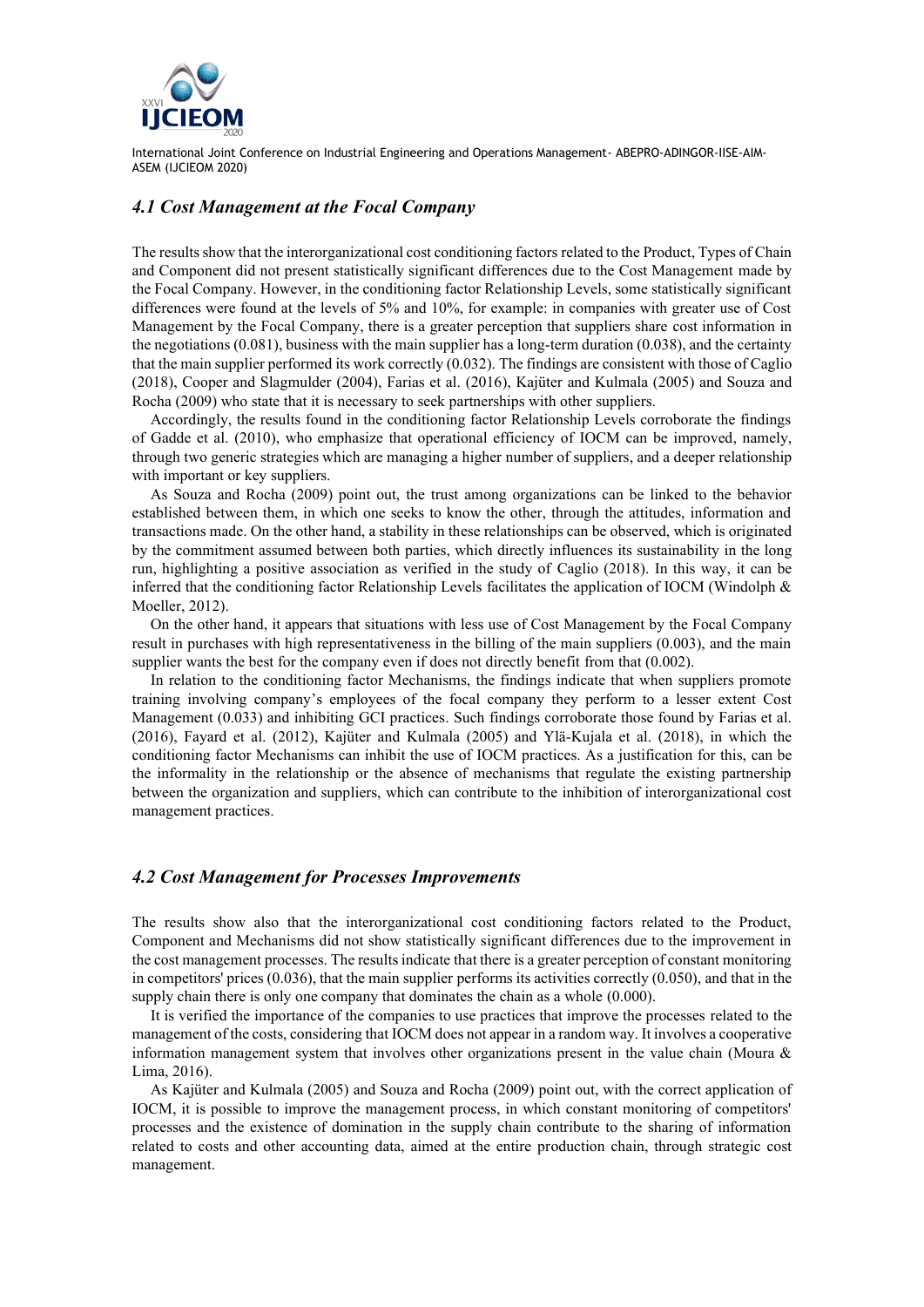

#### *4.1 Cost Management at the Focal Company*

The results show that the interorganizational cost conditioning factors related to the Product, Types of Chain and Component did not present statistically significant differences due to the Cost Management made by the Focal Company. However, in the conditioning factor Relationship Levels, some statistically significant differences were found at the levels of 5% and 10%, for example: in companies with greater use of Cost Management by the Focal Company, there is a greater perception that suppliers share cost information in the negotiations (0.081), business with the main supplier has a long-term duration (0.038), and the certainty that the main supplier performed its work correctly (0.032). The findings are consistent with those of Caglio (2018), Cooper and Slagmulder (2004), Farias et al. (2016), Kajüter and Kulmala (2005) and Souza and Rocha (2009) who state that it is necessary to seek partnerships with other suppliers.

Accordingly, the results found in the conditioning factor Relationship Levels corroborate the findings of Gadde et al. (2010), who emphasize that operational efficiency of IOCM can be improved, namely, through two generic strategies which are managing a higher number of suppliers, and a deeper relationship with important or key suppliers.

As Souza and Rocha (2009) point out, the trust among organizations can be linked to the behavior established between them, in which one seeks to know the other, through the attitudes, information and transactions made. On the other hand, a stability in these relationships can be observed, which is originated by the commitment assumed between both parties, which directly influences its sustainability in the long run, highlighting a positive association as verified in the study of Caglio (2018). In this way, it can be inferred that the conditioning factor Relationship Levels facilitates the application of IOCM (Windolph & Moeller, 2012).

On the other hand, it appears that situations with less use of Cost Management by the Focal Company result in purchases with high representativeness in the billing of the main suppliers (0.003), and the main supplier wants the best for the company even if does not directly benefit from that  $(0.002)$ .

In relation to the conditioning factor Mechanisms, the findings indicate that when suppliers promote training involving company's employees of the focal company they perform to a lesser extent Cost Management (0.033) and inhibiting GCI practices. Such findings corroborate those found by Farias et al. (2016), Fayard et al. (2012), Kajüter and Kulmala (2005) and Ylä-Kujala et al. (2018), in which the conditioning factor Mechanisms can inhibit the use of IOCM practices. As a justification for this, can be the informality in the relationship or the absence of mechanisms that regulate the existing partnership between the organization and suppliers, which can contribute to the inhibition of interorganizational cost management practices.

#### *4.2 Cost Management for Processes Improvements*

The results show also that the interorganizational cost conditioning factors related to the Product, Component and Mechanisms did not show statistically significant differences due to the improvement in the cost management processes. The results indicate that there is a greater perception of constant monitoring in competitors' prices  $(0.036)$ , that the main supplier performs its activities correctly  $(0.050)$ , and that in the supply chain there is only one company that dominates the chain as a whole (0.000).

It is verified the importance of the companies to use practices that improve the processes related to the management of the costs, considering that IOCM does not appear in a random way. It involves a cooperative information management system that involves other organizations present in the value chain (Moura & Lima, 2016).

As Kajüter and Kulmala (2005) and Souza and Rocha (2009) point out, with the correct application of IOCM, it is possible to improve the management process, in which constant monitoring of competitors' processes and the existence of domination in the supply chain contribute to the sharing of information related to costs and other accounting data, aimed at the entire production chain, through strategic cost management.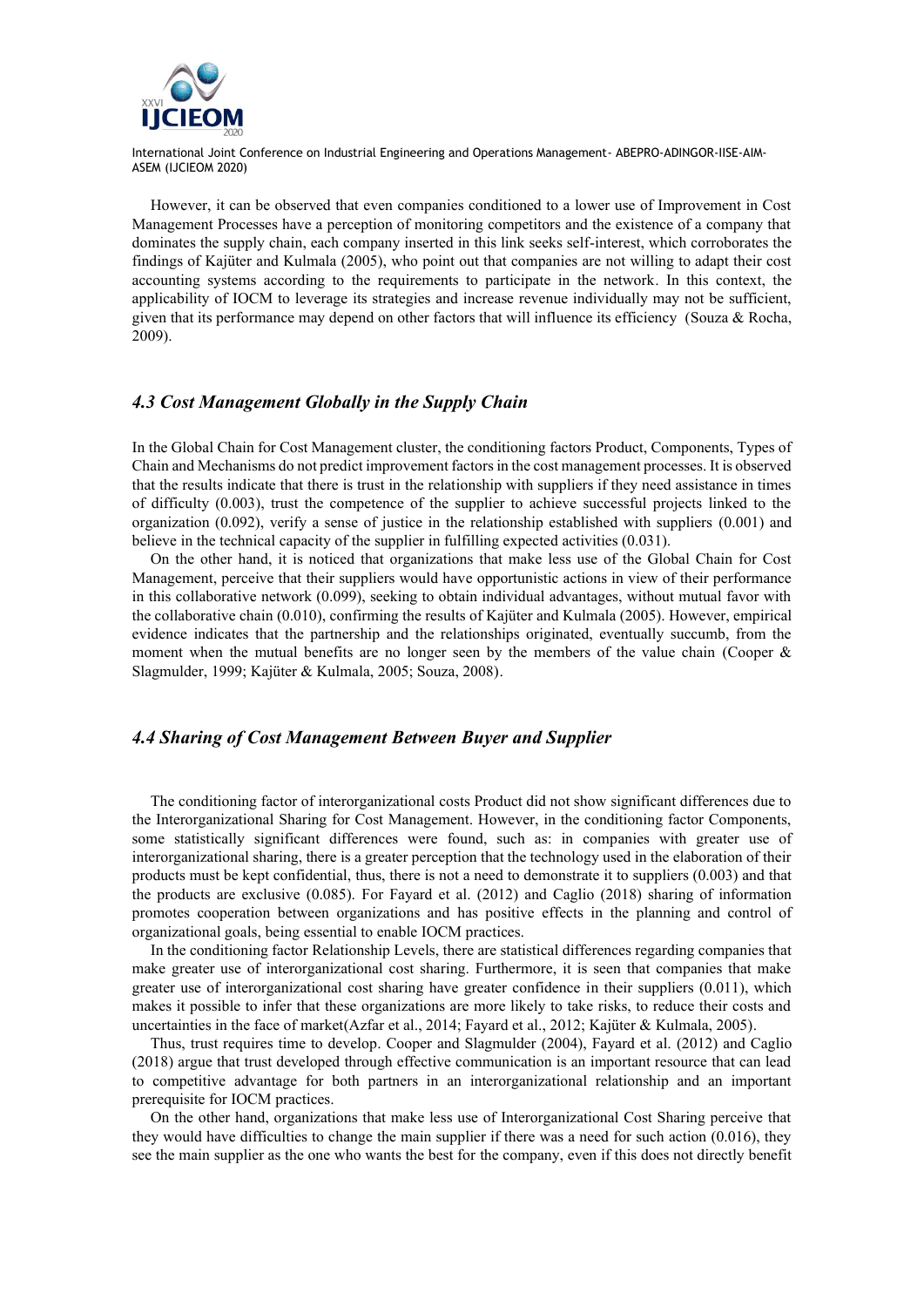

However, it can be observed that even companies conditioned to a lower use of Improvement in Cost Management Processes have a perception of monitoring competitors and the existence of a company that dominates the supply chain, each company inserted in this link seeks self-interest, which corroborates the findings of Kajüter and Kulmala (2005), who point out that companies are not willing to adapt their cost accounting systems according to the requirements to participate in the network. In this context, the applicability of IOCM to leverage its strategies and increase revenue individually may not be sufficient, given that its performance may depend on other factors that will influence its efficiency (Souza & Rocha, 2009).

# *4.3 Cost Management Globally in the Supply Chain*

In the Global Chain for Cost Management cluster, the conditioning factors Product, Components, Types of Chain and Mechanisms do not predict improvement factors in the cost management processes. It is observed that the results indicate that there is trust in the relationship with suppliers if they need assistance in times of difficulty (0.003), trust the competence of the supplier to achieve successful projects linked to the organization (0.092), verify a sense of justice in the relationship established with suppliers (0.001) and believe in the technical capacity of the supplier in fulfilling expected activities (0.031).

On the other hand, it is noticed that organizations that make less use of the Global Chain for Cost Management, perceive that their suppliers would have opportunistic actions in view of their performance in this collaborative network (0.099), seeking to obtain individual advantages, without mutual favor with the collaborative chain (0.010), confirming the results of Kajüter and Kulmala (2005). However, empirical evidence indicates that the partnership and the relationships originated, eventually succumb, from the moment when the mutual benefits are no longer seen by the members of the value chain (Cooper  $\&$ Slagmulder, 1999; Kajüter & Kulmala, 2005; Souza, 2008).

# *4.4 Sharing of Cost Management Between Buyer and Supplier*

The conditioning factor of interorganizational costs Product did not show significant differences due to the Interorganizational Sharing for Cost Management. However, in the conditioning factor Components, some statistically significant differences were found, such as: in companies with greater use of interorganizational sharing, there is a greater perception that the technology used in the elaboration of their products must be kept confidential, thus, there is not a need to demonstrate it to suppliers (0.003) and that the products are exclusive (0.085). For Fayard et al. (2012) and Caglio (2018) sharing of information promotes cooperation between organizations and has positive effects in the planning and control of organizational goals, being essential to enable IOCM practices.

In the conditioning factor Relationship Levels, there are statistical differences regarding companies that make greater use of interorganizational cost sharing. Furthermore, it is seen that companies that make greater use of interorganizational cost sharing have greater confidence in their suppliers (0.011), which makes it possible to infer that these organizations are more likely to take risks, to reduce their costs and uncertainties in the face of market(Azfar et al., 2014; Fayard et al., 2012; Kajüter & Kulmala, 2005).

Thus, trust requires time to develop. Cooper and Slagmulder (2004), Fayard et al. (2012) and Caglio (2018) argue that trust developed through effective communication is an important resource that can lead to competitive advantage for both partners in an interorganizational relationship and an important prerequisite for IOCM practices.

On the other hand, organizations that make less use of Interorganizational Cost Sharing perceive that they would have difficulties to change the main supplier if there was a need for such action (0.016), they see the main supplier as the one who wants the best for the company, even if this does not directly benefit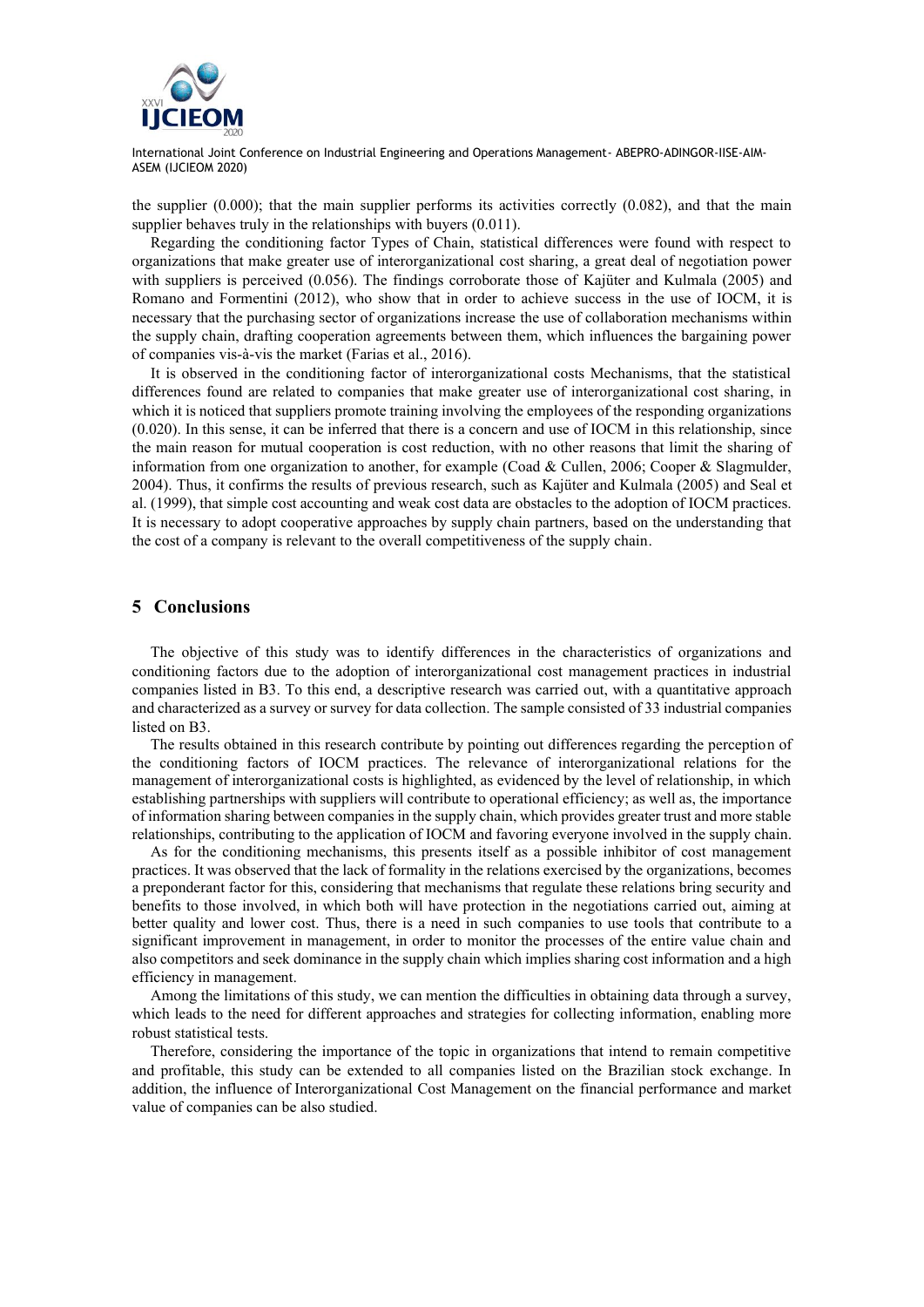

the supplier  $(0.000)$ ; that the main supplier performs its activities correctly  $(0.082)$ , and that the main supplier behaves truly in the relationships with buyers (0.011).

Regarding the conditioning factor Types of Chain, statistical differences were found with respect to organizations that make greater use of interorganizational cost sharing, a great deal of negotiation power with suppliers is perceived (0.056). The findings corroborate those of Kajüter and Kulmala (2005) and Romano and Formentini (2012), who show that in order to achieve success in the use of IOCM, it is necessary that the purchasing sector of organizations increase the use of collaboration mechanisms within the supply chain, drafting cooperation agreements between them, which influences the bargaining power of companies vis-à-vis the market (Farias et al., 2016).

It is observed in the conditioning factor of interorganizational costs Mechanisms, that the statistical differences found are related to companies that make greater use of interorganizational cost sharing, in which it is noticed that suppliers promote training involving the employees of the responding organizations (0.020). In this sense, it can be inferred that there is a concern and use of IOCM in this relationship, since the main reason for mutual cooperation is cost reduction, with no other reasons that limit the sharing of information from one organization to another, for example (Coad & Cullen, 2006; Cooper & Slagmulder, 2004). Thus, it confirms the results of previous research, such as Kajüter and Kulmala (2005) and Seal et al. (1999), that simple cost accounting and weak cost data are obstacles to the adoption of IOCM practices. It is necessary to adopt cooperative approaches by supply chain partners, based on the understanding that the cost of a company is relevant to the overall competitiveness of the supply chain.

## **5 Conclusions**

The objective of this study was to identify differences in the characteristics of organizations and conditioning factors due to the adoption of interorganizational cost management practices in industrial companies listed in B3. To this end, a descriptive research was carried out, with a quantitative approach and characterized as a survey or survey for data collection. The sample consisted of 33 industrial companies listed on B3.

The results obtained in this research contribute by pointing out differences regarding the perception of the conditioning factors of IOCM practices. The relevance of interorganizational relations for the management of interorganizational costs is highlighted, as evidenced by the level of relationship, in which establishing partnerships with suppliers will contribute to operational efficiency; as well as, the importance of information sharing between companies in the supply chain, which provides greater trust and more stable relationships, contributing to the application of IOCM and favoring everyone involved in the supply chain.

As for the conditioning mechanisms, this presents itself as a possible inhibitor of cost management practices. It was observed that the lack of formality in the relations exercised by the organizations, becomes a preponderant factor for this, considering that mechanisms that regulate these relations bring security and benefits to those involved, in which both will have protection in the negotiations carried out, aiming at better quality and lower cost. Thus, there is a need in such companies to use tools that contribute to a significant improvement in management, in order to monitor the processes of the entire value chain and also competitors and seek dominance in the supply chain which implies sharing cost information and a high efficiency in management.

Among the limitations of this study, we can mention the difficulties in obtaining data through a survey, which leads to the need for different approaches and strategies for collecting information, enabling more robust statistical tests.

Therefore, considering the importance of the topic in organizations that intend to remain competitive and profitable, this study can be extended to all companies listed on the Brazilian stock exchange. In addition, the influence of Interorganizational Cost Management on the financial performance and market value of companies can be also studied.